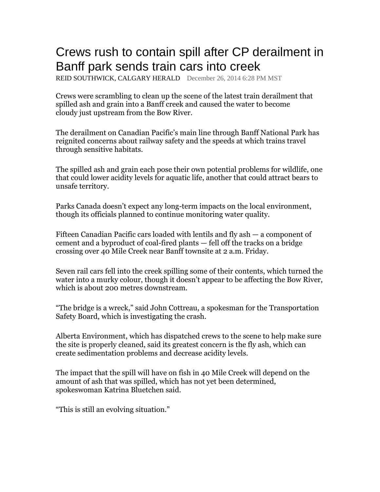## Crews rush to contain spill after CP derailment in Banff park sends train cars into creek

REID SOUTHWICK, CALGARY HERALD December 26, 2014 6:28 PM MST

Crews were scrambling to clean up the scene of the latest train derailment that spilled ash and grain into a Banff creek and caused the water to become cloudy just upstream from the Bow River.

The derailment on Canadian Pacific's main line through Banff National Park has reignited concerns about railway safety and the speeds at which trains travel through sensitive habitats.

The spilled ash and grain each pose their own potential problems for wildlife, one that could lower acidity levels for aquatic life, another that could attract bears to unsafe territory.

Parks Canada doesn't expect any long-term impacts on the local environment, though its officials planned to continue monitoring water quality.

Fifteen Canadian Pacific cars loaded with lentils and fly ash — a component of cement and a byproduct of coal-fired plants — fell off the tracks on a bridge crossing over 40 Mile Creek near Banff townsite at 2 a.m. Friday.

Seven rail cars fell into the creek spilling some of their contents, which turned the water into a murky colour, though it doesn't appear to be affecting the Bow River, which is about 200 metres downstream.

"The bridge is a wreck," said John Cottreau, a spokesman for the Transportation Safety Board, which is investigating the crash.

Alberta Environment, which has dispatched crews to the scene to help make sure the site is properly cleaned, said its greatest concern is the fly ash, which can create sedimentation problems and decrease acidity levels.

The impact that the spill will have on fish in 40 Mile Creek will depend on the amount of ash that was spilled, which has not yet been determined, spokeswoman Katrina Bluetchen said.

"This is still an evolving situation."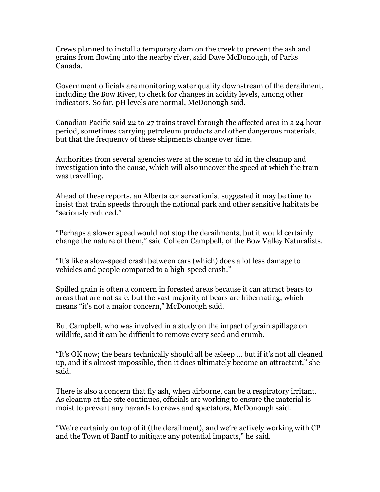Crews planned to install a temporary dam on the creek to prevent the ash and grains from flowing into the nearby river, said Dave McDonough, of Parks Canada.

Government officials are monitoring water quality downstream of the derailment, including the Bow River, to check for changes in acidity levels, among other indicators. So far, pH levels are normal, McDonough said.

Canadian Pacific said 22 to 27 trains travel through the affected area in a 24 hour period, sometimes carrying petroleum products and other dangerous materials, but that the frequency of these shipments change over time.

Authorities from several agencies were at the scene to aid in the cleanup and investigation into the cause, which will also uncover the speed at which the train was travelling.

Ahead of these reports, an Alberta conservationist suggested it may be time to insist that train speeds through the national park and other sensitive habitats be "seriously reduced."

"Perhaps a slower speed would not stop the derailments, but it would certainly change the nature of them," said Colleen Campbell, of the Bow Valley Naturalists.

"It's like a slow-speed crash between cars (which) does a lot less damage to vehicles and people compared to a high-speed crash."

Spilled grain is often a concern in forested areas because it can attract bears to areas that are not safe, but the vast majority of bears are hibernating, which means "it's not a major concern," McDonough said.

But Campbell, who was involved in a study on the impact of grain spillage on wildlife, said it can be difficult to remove every seed and crumb.

"It's OK now; the bears technically should all be asleep … but if it's not all cleaned up, and it's almost impossible, then it does ultimately become an attractant," she said.

There is also a concern that fly ash, when airborne, can be a respiratory irritant. As cleanup at the site continues, officials are working to ensure the material is moist to prevent any hazards to crews and spectators, McDonough said.

"We're certainly on top of it (the derailment), and we're actively working with CP and the Town of Banff to mitigate any potential impacts," he said.